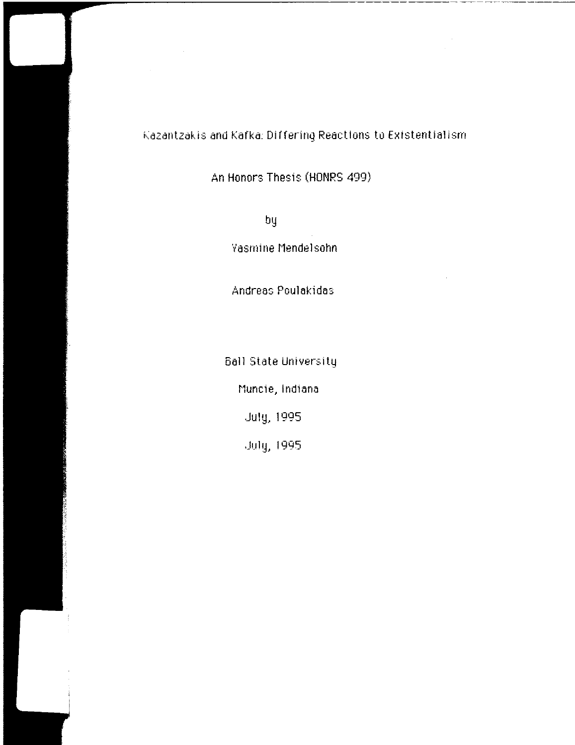## Kazantzakis and Kafka: Differing Reactions to Existentialism

An Honors Thesis (HONRS 499)

by

Vasrnine t1endelsohn

Andreas Poulakidas

6all State University

nuncie, Indiana

.July, 1995

July, 1995.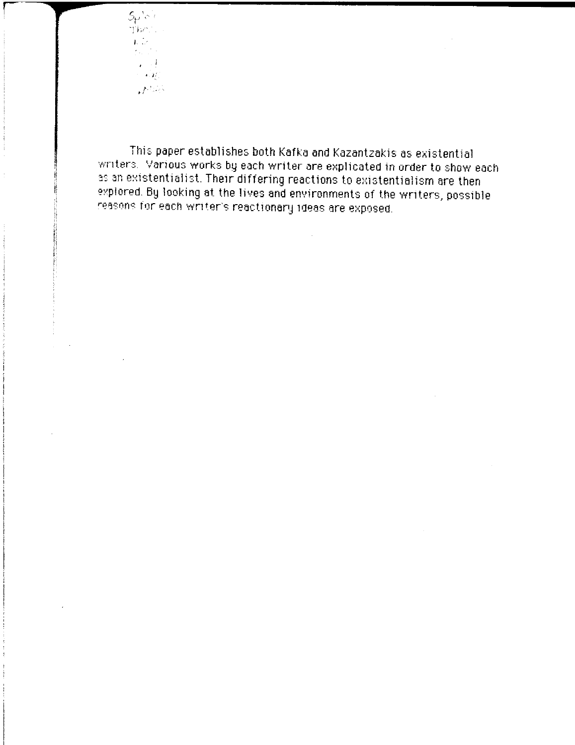$5\rho$  is in ที่มีความ  $\mathbf{E}(\mathbf{D})$  $\mathcal{O}(\sqrt{2})$  $\epsilon > 1$ ,  $\sim$   $\sim$   $\sim$  $I^{\rm d}$  , , , ,

This paper establishes both Kafka and Kazantzakis as existential writers. Various works by each writer are explicated in order to show each as an existentialist. Their differing reactions to existentialism are then explored. By looking at the lives and environments of the writers, possible reasons for each writer's reactionary ideas are exposed.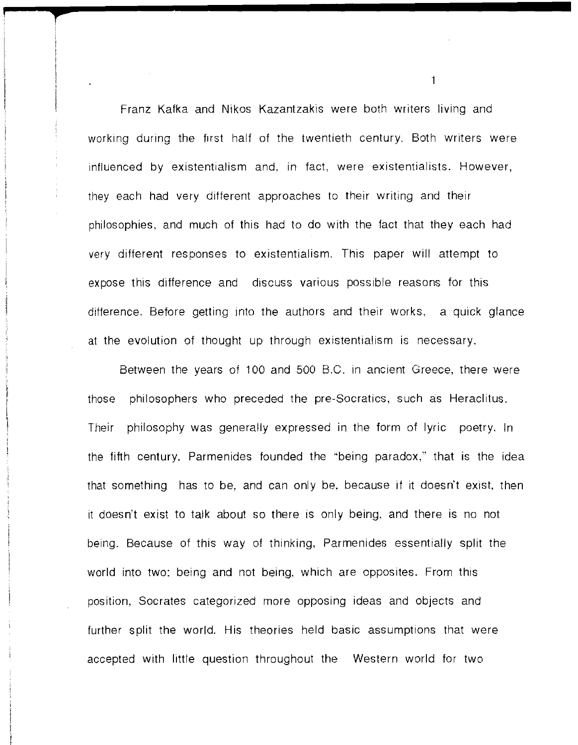Franz Kafka and Nikos Kazantzakis were both writers living and working during the first half of the twentieth century. Both writers were influenced by existentialism and, in fact, were existentialists. However, they each had very different approaches to their writing and their philosophies, and much of this had to do with the fact that they each had very different responses to existentialism. This paper will attempt to expose this difference and discuss various possible reasons for this difference. Before getting into the authors and their works, a quick glance at the evolution of thought up through existentialism is necessary.

**f** 

Between the years of 100 and 500 B.C. in ancient Greece, there were those philosophers who preceded the pre-Socratics, such as Heraclitus. Their philosophy was generally expressed in the form of lyric poetry. In the fifth century, Parmenides founded the '"being paradox," that is the idea that something has to be, and can only be, because if it doesn't exist, then it doesn't exist to talk about so there is only being, and there is no not being. Because of this way of thinking, Parmenides essentially split the world into two: being and not being, which are opposites. From this position, Socrates categorized more opposing ideas and objects and further split the world. His theories held basic assumptions that were accepted with little question throughout the Western world for two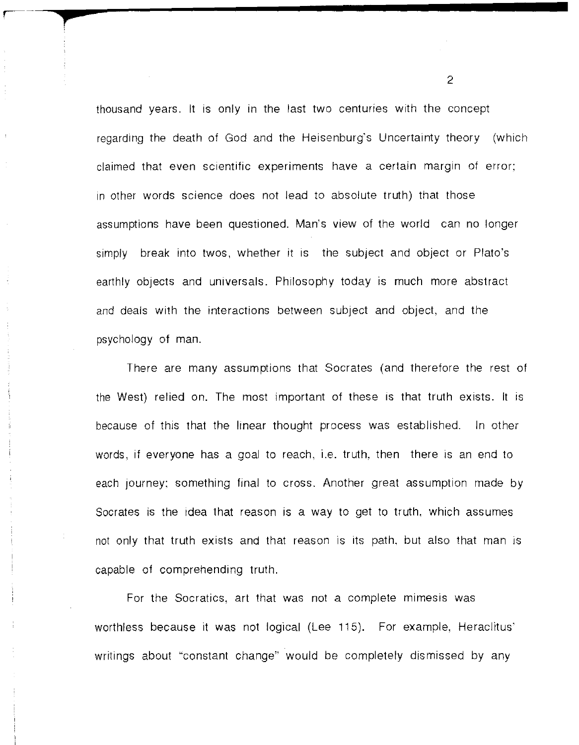thousand years. It IS only in the last two centuries with the concept regarding the death of God and the Heisenburg's Uncertainty theory (which claimed that even scientific experiments have a certain margin of error; in other words science does not lead to absolute truth) that those assumptions have been questioned. Man's view of the world can no longer simply break into twos, whether it is the subject and object or Plato's earthly objects and universals. Philosophy today is much more abstract and deals with the interactions between subject and object, and the psychology of man.

**p** 

There are many assumptions that Socrates (and therefore the rest of the West) relied on. The most important of these is that truth exists. It is because of this that the linear thought process was established. In other words, if everyone has a goal to reach, i.e. truth, then there is an end to each journey; something final to cross. Another great assumption made by Socrates is the idea that reason is a way to get to truth, which assumes not only that truth exists and that reason is its path. but also that man is capable of comprehending truth.

For the Socratics, art that was not a complete mimesis was worthless because it was not logical (Lee 115). For example, Heraclitus' writings about "constant change" would be completely dismissed by any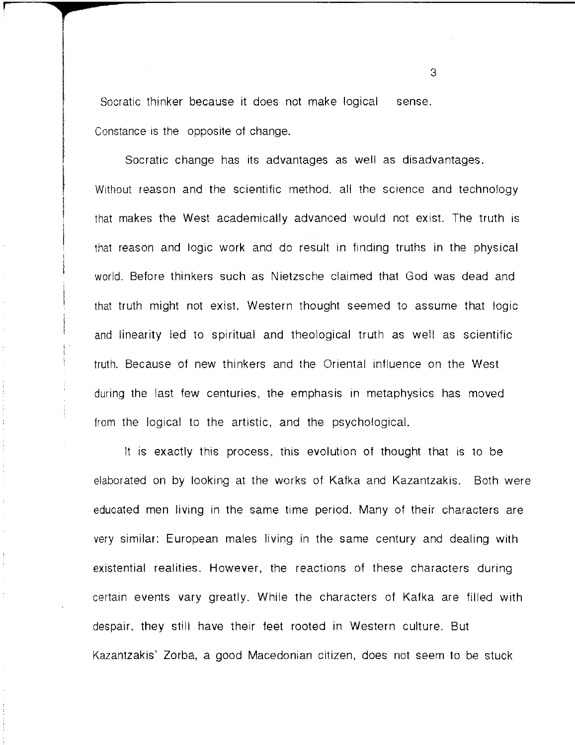Socratic thinker because it does not make logical sense. Constance is the opposite of change.

! . ,

Socratic change has its advantages as well as disadvantages. Without reason and the scientific method, all the science and technology that makes the West academically advanced would not exist. The truth is that reason and logic work and do result in finding truths in the physical world. Before thinkers such as Nietzsche claimed that God was dead and that truth might not exist, Western thought seemed to assume that logic and linearity led to spiritual and theological truth as well as scientific truth. Because of new thinkers and the Oriental influence on the West during the last few centuries, the emphasis in metaphysics has moved from the logical to the artistic, and the psychological.

It is exactly this process, this evolution of thought that is to be elaborated on by looking at the works of Kafka and Kazantzakis. Both were educated men living in the same time period. Many of their characters are very similar: European males living in the same century and dealing with existential realities. However, the reactions of these characters during certain events vary greatly. While the characters of Kafka are filled with despair, they still have their feet rooted in Western culture. But Kazantzakis' Zorba, a good Macedonian citizen, does not seem to be stuck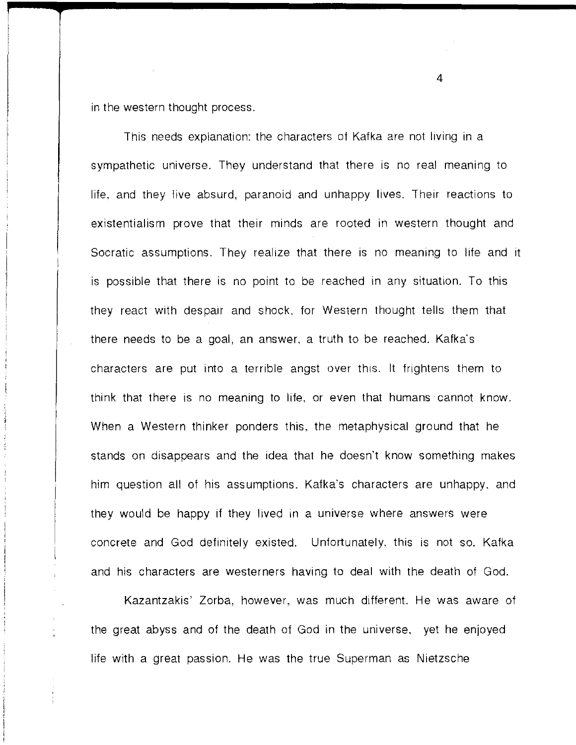in the western thought process.

This needs explanation: the characters of Kafka are not living in a sympathetic universe. They understand that there is no real meaning to life, and they live absurd, paranoid and unhappy lives. Their reactions to existentialism prove that their minds are rooted in western thought and Socratic assumptions. They realize that there is no meaning to life and it is possible that there is no point to be reached in any situation. To this they react with despair and shock, for Western thought tells them that there needs to be a goal, an answer, a truth to be reached. Kafka's characters are put into a terrible angst over this. It frightens them to think that there is no meaning to life, or even that humans cannot know. When a Western thinker ponders this, the metaphysical ground that he stands on disappears and the idea that he doesn't know something makes him question all of his assumptions. Kafka's characters are unhappy, and they would be happy if they lived in a universe where answers were concrete and God definitely existed. Unfortunately, this is not so. Kafka and his characters are westerners having to deal with the death of God.

Kazantzakis' Zorba, however, was much different. He was aware of the great abyss and of the death of God in the universe, yet he enjoyed life with a great passion. He was the true Superman as Nietzsche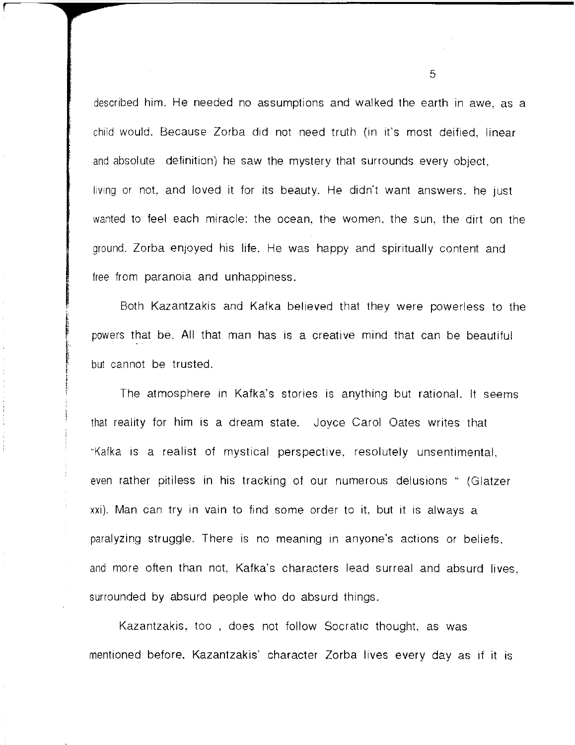described him. He needed no assumptions and walked the earth in awe, as a child would. Because Zorba did not need truth (in it's most deified, linear and absolute definition) he saw the mystery that surrounds every object, living or not, and loved it for its beauty. He didn't want answers, he just wanted to feel each miracle: the ocean, the women, the sun, the dirt on the ground. Zorba enjoyed his life. He was happy and spiritually content and free from paranoia and unhappiness.

Both Kazantzakis and Kafka believed that they were powerless to the powers that be. All that man has is a creative mind that can be beautiful but cannot be trusted.

The atmosphere in Kafka's stories is anything but rational. It seems that reality for him is a dream state. Joyce Carol Oates writes that "Kafka is a realist of mystical perspective, resolutely unsentimental, even rather pitiless in his tracking of our numerous delusions " (Glatzer xxi). Man can try in vain to find some order to it, but it is always a paralyzing struggle. There is no meaning in anyone's actions or beliefs, and more often than not, Kafka's characters lead surreal and absurd lives, surrounded by absurd people who do absurd things.

Kazantzakis, too, does not follow Socratic thought, as was mentioned before. Kazantzakis' character Zorba lives every day as if it is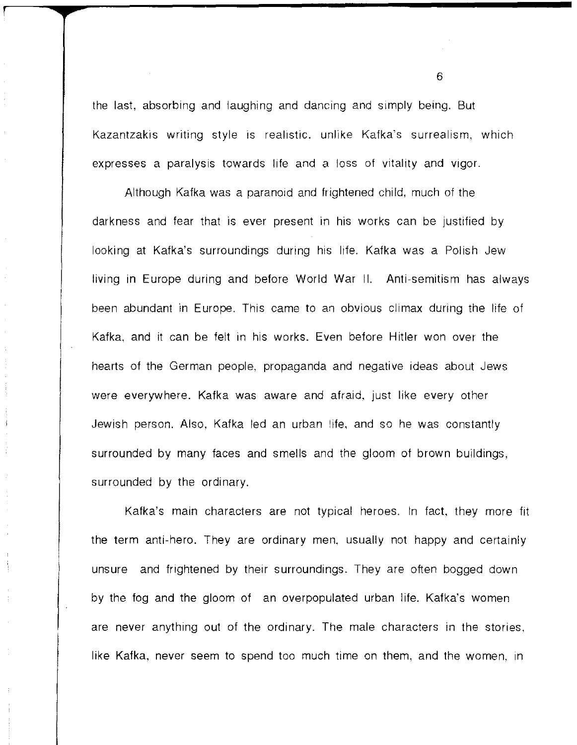the last, absorbing and laughing and dancing and simply being. But Kazantzakis writing style is realistic, unlike Kafka's surrealism, which expresses a paralysis towards life and a loss of vitality and vigor.

Although Kafka was a paranoid and frightened child, much of the darkness and fear that is ever present in his works can be justified by looking at Kafka's surroundings during his life. Kafka was a Polish Jew living in Europe during and before World War II. Anti-semitism has always been abundant in Europe. This came to an obvious climax during the life of Kafka, and it can be felt in his works. Even before Hitler won over the hearts of the German people. propaganda and negative ideas about Jews were everywhere. Kafka was aware and afraid, just like every other Jewish person. Also, Kafka led an urban iife, and so he was constantly surrounded by many faces and smells and the gloom of brown buildings, surrounded by the ordinary.

Kafka's main characters are not typical heroes. In fact, they more fit the term anti-hero. They are ordinary men, usually not happy and certainly unsure and frightened by their surroundings. They are often bogged down by the fog and the gloom of an overpopulated urban life. Kafka's women are never anything out of the ordinary. The male characters in the stories, like Kafka, never seem to spend too much time on them, and the women. in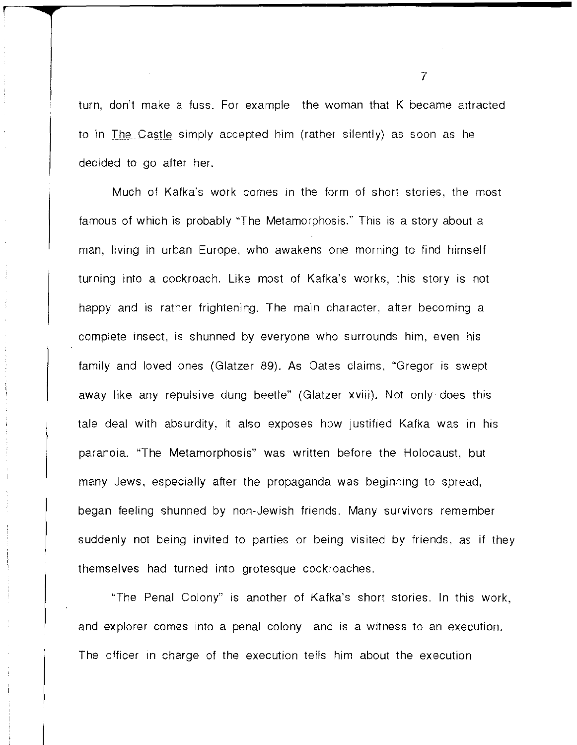turn, don't make a fuss. For example the woman that K became attracted to in The Castle simply accepted him (rather silently) as soon as he decided to go after her.

Much of Kafka's work comes in the form of short stories, the most famous of which is probably "The Metamorphosis." This is a story about a man, living in urban Europe, who awakens one morning to find himself turning into a cockroach. Like most of Kafka's works. this story is not happy and is rather frightening. The main character, after becoming a complete insect, is shunned by everyone who surrounds him, even his family and loved ones (Glatzer 89). As Oates claims, "Gregor is swept away like any repulsive dung beetle" (Glatzer xviii). Not only does this tale deal with absurdity, it also exposes how justified Kafka was in his paranoia. "The Metamorphosis" was written before the Holocaust, but many Jews. especially after the propaganda was beginning to spread, began feeling shunned by non-Jewish friends. Many survivors remember suddenly not being invited to parties or being visited by friends. as if they themselves had turned into grotesque cockroaches.

"The Penal Colony" is another of Kafka's short stories. In this work, and explorer comes into a penal colony and is a witness to an execution. The officer in charge of the execution tells him about the execution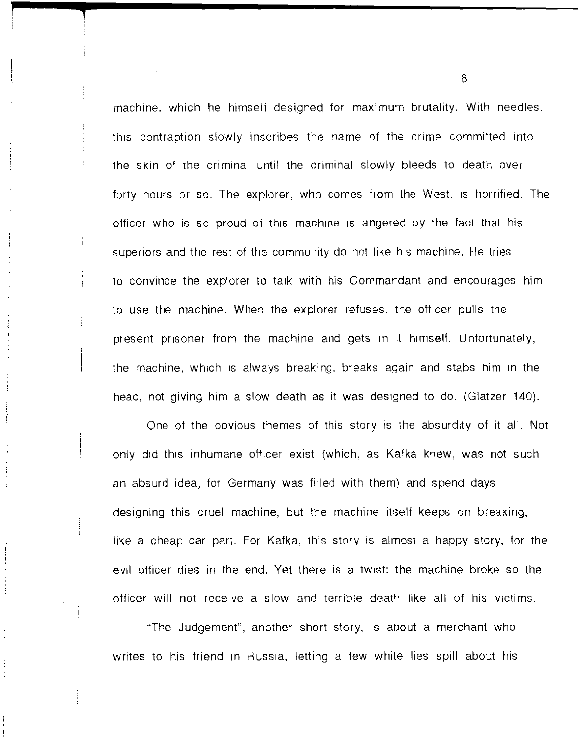machine, which he himself designed for maximum brutality. With needles, this contraption slowly inscribes the name of the crime committed into the skin of the criminal until the criminal slowly bleeds to death over forty hours or so. The explorer, who comes from the West, is horrified. The officer who is so proud of this machine is angered by the fact that his superiors and the rest of the community do not like his machine. He tries to convince the explorer to talk with his Commandant and encourages him to use the machine. When the explorer refuses, the officer pulls the present prisoner from the machine and gets in it himself. Unfortunately, the machine. which is always breaking, breaks again and stabs him In the head, not giving him a slow death as it was designed to do. (Glatzer 140).

**1** 

One of the obvious themes of this story is the absurdity of it all. Not only did this inhumane officer exist (which, as Kafka knew, was not such an absurd idea, for Germany was filled with them) and spend days designing this cruel machine, but the machine itself keeps on breaking, like a cheap car part. For Kafka, this story is almost a happy story, for the evil officer dies in the end. Yet there is a twist: the machine broke so the officer will not receive a slow and terrible death like all of his victims.

""The Judgement", another short story, is about a merchant who writes to his friend in Russia, letting a few white lies spill about his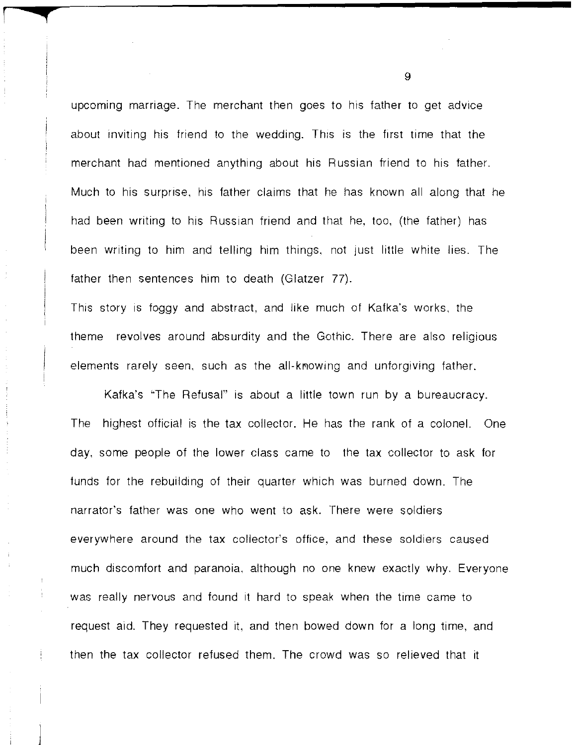upcoming marriage. The merchant then goes to his father to get advice about inviting his friend to the wedding. This is the first time that the merchant had mentioned anything about his Russian friend to his father. Much to his surprise, his father claims that he has known all along that he had been writing to his Russian friend and that he, too, (the father) has been writing to him and telling him things, not just little white lies. The father then sentences him to death (Glatzer 77).

r **q** 

This story is foggy and abstract, and like much of Kafka's works, the theme revolves around absurdity and the Gothic. There are also religious elements rarely seen, such as the all-knowing and unforgiving father.

Kafka's "The Refusal" is about a little town run by a bureaucracy. The highest official is the tax collector. He has the rank of a colonel. One day, some people of the lower class came to the tax collector to ask for funds for the rebuilding of their quarter which was burned down. The narrator's father was one who went to ask. There were soldiers everywhere around the tax collector's office, and these soldiers caused much discomfort and paranoia, although no one knew exactly why. Everyone was really nervous and found it hard to speak when the time came to request aid. They requested it, and then bowed down for a long time, and then the tax collector refused them. The crowd was so relieved that it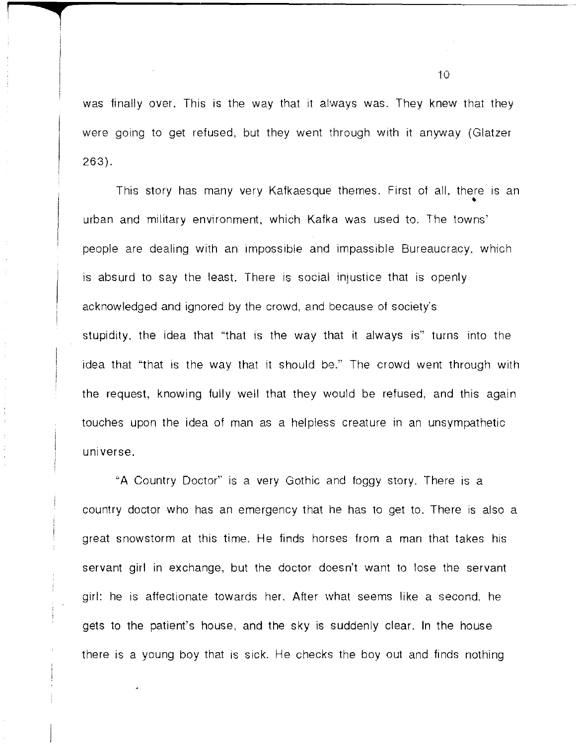was finally over. This is the way that it always was. They knew that they were going to get refused, but they went through with it anyway (Glatzer 263).

**i** 

This story has many very Kafkaesque themes. First of all, there is an **\*** urban and military environment. which Kafka was used to. The towns' people are dealing with an impossible and impassible Bureaucracy. which is absurd to say the least. There is social injustice that is openly acknowledged and ignored by the crowd, and because of society's stupidity, the idea that "that is the way that it always is" turns into the idea that "'that is the way that it should be." The crowd went through with the request, knowing fully well that they would be refused, and this again touches upon the idea of man as a helpless creature in an unsympathetic universe.

"A Country Doctor" is a very Gothic and foggy story. There is a country doctor who has an emergency that he has to get to. There is also a great snowstorm at this time. He finds horses from a man that takes his servant girl in exchange, but the doctor doesn't want to lose the servant girl: he is affectionate towards her. After what seems like a second. he gets to the patient's house. and the sky is suddenly clear. In the house there is a young boy that is sick. He checks the boy out and finds nothing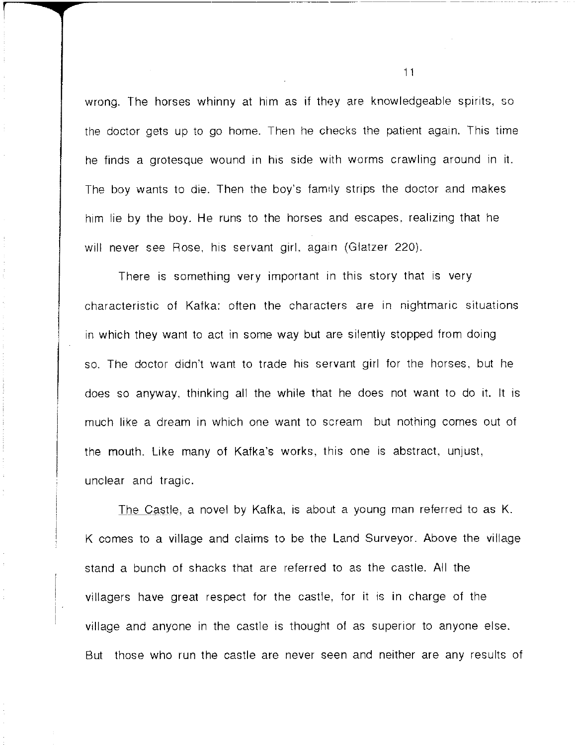wrong. The horses whinny at him as if they are knowledgeable spirits, so the doctor gets up to go home. Then he checks the patient again. This time he finds a grotesque wound in his side With worms crawling around in it. The boy wants to die. Then the boy's family strips the doctor and makes him lie by the boy. He runs to the horses and escapes, realizing that he will never see Rose, his servant girl, again (Glatzer 220).

-----------------------

There is something very important in this story that is very characteristic of Kafka: often the characters are in nightmaric situations in which they want to act in some way but are silently stopped from doing so. The doctor didn't want to trade his servant girl for the horses, but he does so anyway, thinking all the while that he does not want to do it. It is much like a dream in which one want to scream but nothing comes out of the mouth. Like many of Kafka's works, this one is abstract, unjust, unclear and tragic.

The Castle, a novel by Kafka, is about a young man referred to as K. K comes to a village and claims to be the Land Surveyor. Above the village stand a bunch of shacks that are referred to as the castle. All the villagers have great respect for the castle, for it is in charge of the village and anyone in the castle is thought of as superior to anyone else. But those who run the castle are never seen and neither are any results of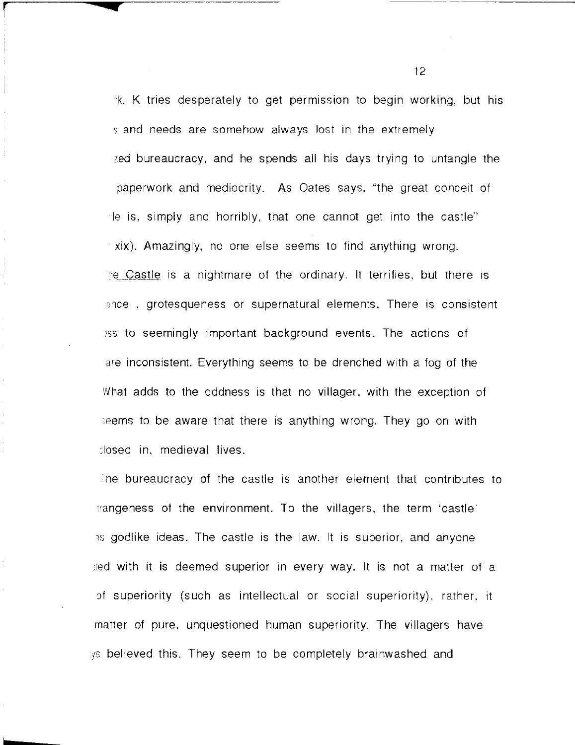k. K tries desperately to get permission to begin working, but his s and needs are somehow always lost in the extremely zed bureaucracy, and he spends all his days trying to untangle the paperwork and mediocrity. As Oates says, "the great conceit of Ie is, simply and horribly, that one cannot get into the castle" xix). Amazingly, no one else seems to find anything wrong. the Castle is a nightmare of the ordinary. It terrifies, but there is ence, grotesqueness or supernatural elements. There is consistent ass to seemingly important background events. The actions of are inconsistent. Everything seems to be drenched with a fog of the What adds to the oddness is that no villager, with the exception of :eems to be aware that there is anything wrong. They go on with :Iosed in, medieval lives .

**r-r** -----c--------------

h

The bureaucracy of the castle is another element that contributes to !rangeness of the environment. To the villagers, the term 'castle' as godlike ideas. The castle is the law, it is superior, and anyone .ted with it is deemed superior in every way. It is not a matter of a of superiority (such as intellectual or social superiority), rather, it rnatter of pure, unquestioned human superiority. The villagers have ys believed this. They seem to be completely brainwashed and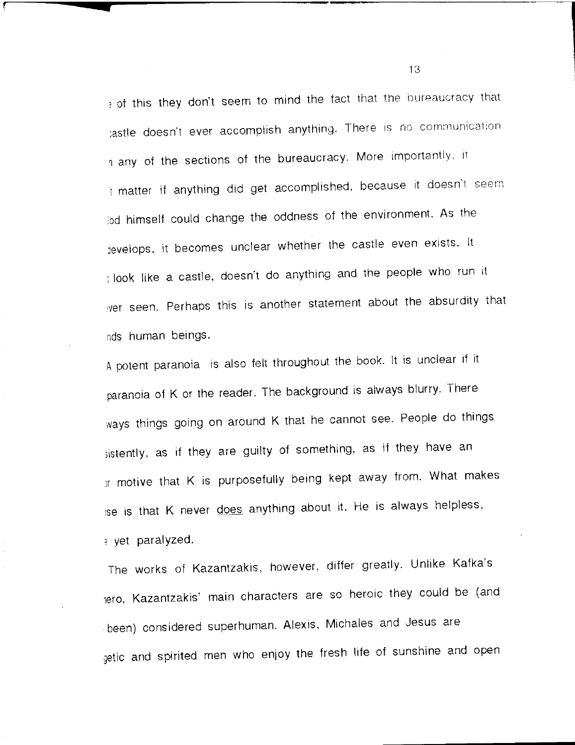) of this they don't seem to mind the fact that the bureaucracy that tastle doesn't ever accomplish anything. There is no communication h any of the sections of the bureaucracy. More importantly, it It matter if anything did get accomplished, because it doesn't seem ;od himself could change the oddness of the environment. As the jevelops, it becomes unclear whether the castle even exists. It : look like a castle, doesn't do anything and the people who run it ,ver seen. Perhaps this is another statement about the absurdity that nds human beings.

**r**  $\overline{\phantom{a}}$ 

A potent paranoia is also felt throughout the book. It is unclear if it paranoia of K or the reader. The background is always blurry. There ways things going on around K that he cannot see. People do things sistently, as if they are guilty of something, as if they have an  $ir$  motive that K is purposefully being kept away from. What makes ise is that K never does anything about it. He is always helpless, ) yet paralyzed.

The works of Kazantzakis, however, differ greatly. Unlike Kafka's lero, Kazantzakis' main characters are so heroic they could be (and . been) considered superhuman. Alexis, Michales and Jesus are getic and spirited men who enjoy the fresh life of sunshine and open

 $13<sup>°</sup>$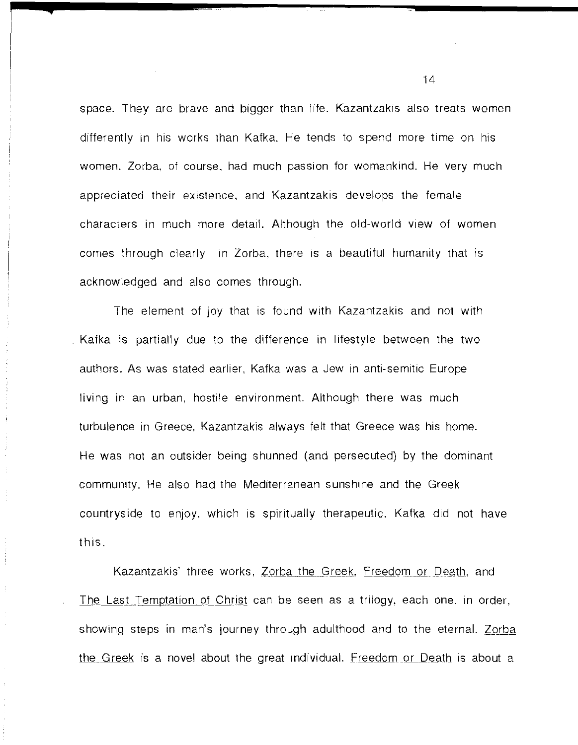space. They are brave and bigger than life. Kazantzakis also treats women differently in his works than Kafka. He tends to spend more time on his women. Zorba, of course. had much passion for womankind. He very much appreciated their existence, and Kazantzakis develops the female characters in much more detail. Although the old-world view of women comes through clearly in Zorba, there is a beautiful humanity that is acknowledged and also comes through.

**4** 

The element of joy that is found with Kazantzakis and not with Kafka is partially due to the difference in lifestyle between the two authors. As was stated earlier, Kafka was a Jew in anti-semitic Europe living in an urban, hostile environment. Although there was much turbulence in Greece, Kazantzakis always felt that Greece was his home. He was not an outsider being shunned (and persecuted) by the dominant community. He also had the Mediterranean sunshine and the Greek countryside to enjoy, which is spiritually therapeutic. Kafka did not have this.

Kazantzakis' three works, Zorba the Greek, Freedom or Death, and The Last Temptation of Christ can be seen as a trilogy, each one, in order, showing steps in man's journey through adulthood and to the eternal. Zorba the Greek is a novel about the great individual. Freedom or Death is about a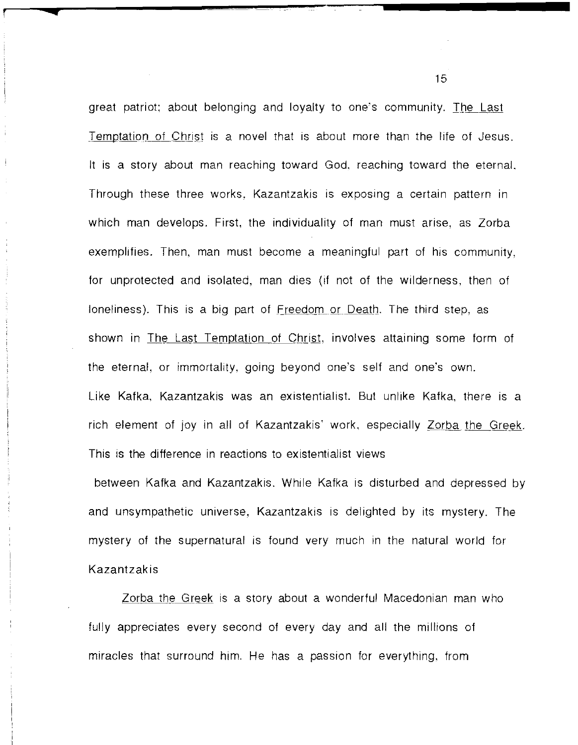great patriot; about belonging and loyalty to one's community. The Last Temptation of Christ is a novel that is about more than the life of Jesus. It is a story about man reaching toward God, reaching toward the eternal. Through these three works, Kazantzakis is exposing a certain pattern in which man develops. First, the individuality of man must arise, as Zorba exemplifies. Then, man must become a meaningful part of his community, for unprotected and isolated, man dies (if not of the wilderness, then of loneliness). This is a big part of Freedom or Death. The third step, as shown in The Last Temptation of Christ, involves attaining some form of the eternal, or immortality, going beyond one's self and one's own. Like Kafka, Kazantzakis was an existentialist. But unlike Kafka, there is a rich element of joy in all of Kazantzakis' work, especially Zorba the Greek. This is the difference in reactions to existentialist views

r **<sup>q</sup>**

between Kafka and Kazantzakis. While Kafka is disturbed and depressed by and unsympathetic universe, Kazantzakis is delighted by its mystery. The mystery of the supernatural is found very much in the natural world for Kazantzakis

Zorba the Greek is a story about a wonderful Macedonian man who fully appreciates every second of every day and all the millions of miracles that surround him. He has a passion for everything, from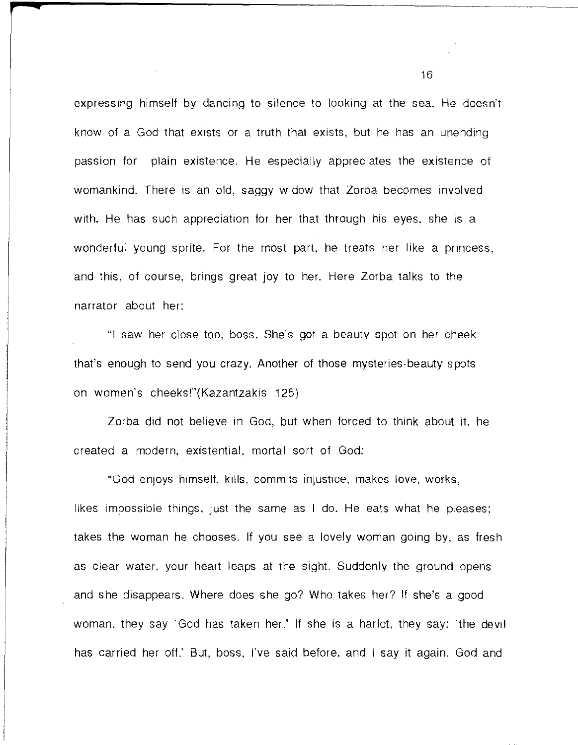expressing himself by dancing to silence to looking at the sea. He doesn't know of a God that exists or a truth that exists, but he has an unending passion for plain existence. He especially appreciates the existence of womankind. There is an old, saggy widow that Zorba becomes involved with. He has such appreciation for her that through his eyes, she is a wonderful young sprite. For the most part, he treats her like a princess, and this, of course, brings great joy to her. Here Zorba talks to the narrator about her:

"I saw her close too, boss. She's got a beauty spot on her cheek that's enough to send you crazy. Another of those mysteries-beauty spots on women's cheeks!"(Kazantzakis 125)

Zorba did not believe in God, but when forced to think about **it.** he created a modern, existential. mortal sort of God:

"God enjoys himself, kills, commits injustice, makes love, works, likes impossible things, just the same as I do. He eats what he pleases; takes the woman he chooses. If you see a lovely woman going by, as fresh as clear water, your heart leaps at the sight. Suddenly the ground opens and she disappears. Where does she go? Who takes her? If she's a good woman, they say "God has taken her.' If she is a harlot, they say: "the devil has carried her off.' But, boss, I've said before, and I say it again, God and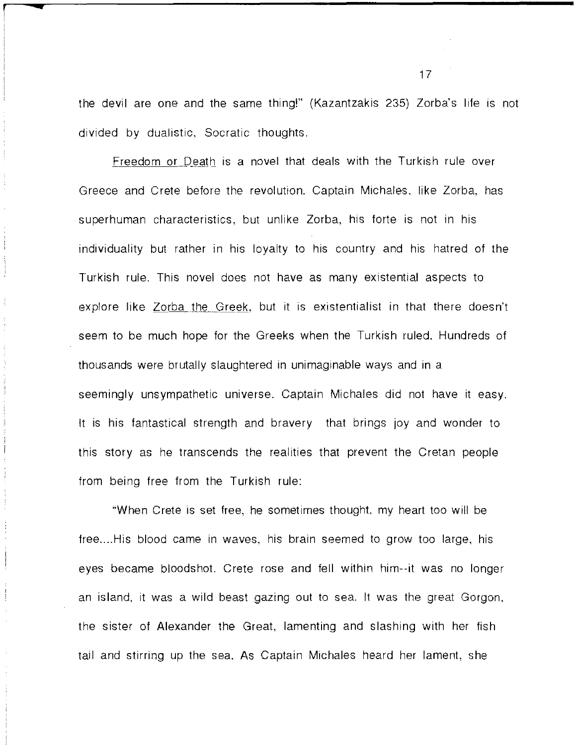the devil are one and the same thing!" (Kazantzakis 235) Zorba's life is not divided by dualistic, Socratic thoughts.

**r** 

**..** 

Freedom or Death is a novel that deals with the Turkish rule over Greece and Crete before the revolution. Captain Michales. like Zorba, has superhuman characteristics, but unlike Zorba, his forte is not in his individuality but rather in his loyalty to his country and his hatred of the Turkish rule. This novel does not have as many existential aspects to explore like Zorba the Greek, but it is existentialist in that there doesn't seem to be much hope for the Greeks when the Turkish ruled. Hundreds of thousands were brutally slaughtered in unimaginable ways and in a seemingly unsympathetic universe. Captain Michales did not have it easy. It is his fantastical strength and bravery that brings joy and wonder to this story as he transcends the realities that prevent the Cretan people from being free from the Turkish rule:

"When Crete is set free, he sometimes thought. my heart too will be free.... His blood came in waves, his brain seemed to grow too large, his eyes became bloodshot. Crete rose and fell within him--it was no longer an island, it was a wild beast gazing out to sea. It was the great Gorgon. the sister of Alexander the Great, lamenting and slashing with her fish tail and stirring up the sea. As Captain Michales heard her lament, she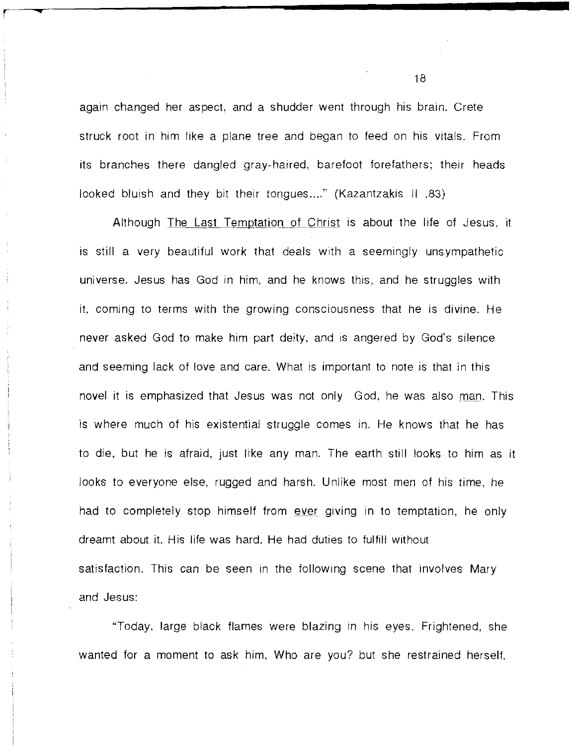again changed her aspect, and a shudder went through his brain. Crete struck root in him like a plane tree and began to feed on his vitals. From its branches there dangled gray-haired, barefoot forefathers; their heads looked bluish and they bit their tongues...." (Kazantzakis II ,83)

**r ....** 

Although The Last Temptation of Christ is about the life of Jesus, it is still a very beautiful work that deals with a seemingly unsympathetic universe. Jesus has God in him, and he knows this, and he struggles with it, coming to terms with the growing consciousness that he is divine. He never asked God to make him part deity, and is angered by God's silence and seeming lack of love and care. What is important to note is that in this novel it is emphasized that Jesus was not only God, he was also man. This is where much of his existential struggle comes in. He knows that he has to die, but he is afraid, just like any man. The earth still looks to him as it looks to everyone else, rugged and harsh. Unlike most men of his time, he had to completely stop himself from ever giving in to temptation, he only dreamt about it. His life was hard. He had duties to fulfill without satisfaction. This can be seen in the following scene that involves Mary and Jesus:

"Today. large black flames were blazing in his eyes. Frightened, she wanted for a moment to ask him. Who are you? but she restrained herself.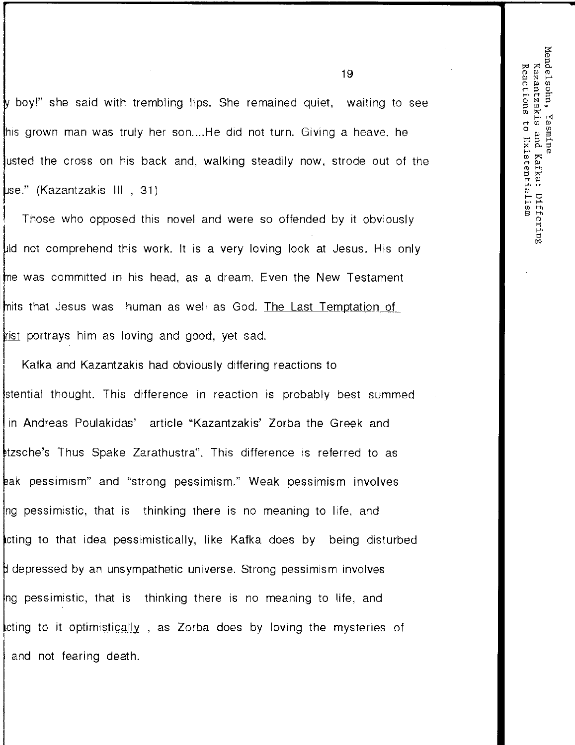Mendelsohn, Kazantzakis Reactions to Existentialism Yasmine and Kafka: Differing

boy!" she said with trembling lips. She remained quiet, waiting to see his grown man was truly her son....He did not turn. Giving a heave, he usted the cross on his back and, walking steadily now. strode out of the se." (Kazantzakis III , 31)

Those who opposed this novel and were so offended by it obviously Id not comprehend this work. It is a very loving look at Jesus. His only the was committed in his head, as a dream. Even the New Testament mits that Jesus was human as well as God. The Last Temptation of **I** ist portrays him as loving and good, yet sad.

: Kafka and Kazantzakis had obviously differing reactions to stential thought. This difference in reaction is probably best summed in Andreas Poulakidas' article "Kazantzakis' Zorba the Greek and ~tzsche's Thus Spake Zarathustra". This difference is referred to as ~ak pessimism" and "strong pessimism." Weak pessimism involves ng pessimistic, that is thinking there is no meaning to life, and cting to that idea pessimistically, like Kafka does by being disturbed depressed by an unsympathetic universe. Strong pessimism involves ng pessimistic, that is thinking there is no meaning to life, and cting to it optimistically , as Zorba does by loving the mysteries of I and not fearing death.